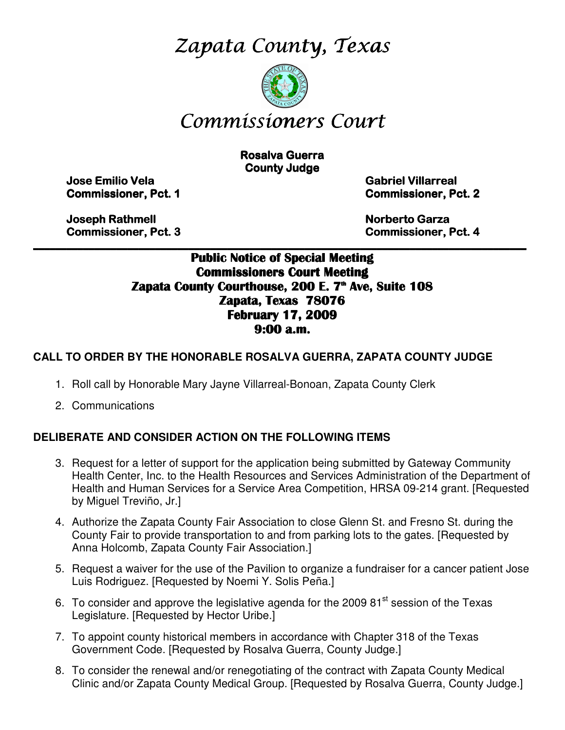Zapata County, Texas



# Commissioners Court

**Rosalva Guerra County Judge** 

Jose Emilio Vela Emilio Vela Vela Gabriel Villarreal Villarreal Villarreal

**Commissioner, Pct. 1 Commissioner, Pct. 2** 

 Joseph Rathmell Rathmell Norberto Garza Garza Garza Commissioner, Pct. 3 3 Commissioner, Pct. 4 4

# \_\_\_\_\_\_\_\_\_\_\_\_\_\_\_\_\_\_\_\_\_\_\_\_\_\_\_\_\_\_\_\_\_\_\_\_\_\_\_\_\_\_\_\_\_\_\_\_\_\_\_\_\_\_\_\_\_\_\_\_\_\_\_\_\_\_\_\_\_\_\_\_\_\_\_\_\_\_\_\_\_\_\_\_\_\_\_\_\_ Public Notice of Special Meeting Commissioners Court Meeting Zapata County Courthouse, 200 E. 7<sup>th</sup> Ave, Suite 108 Zapata, Texas 78076 February 17, 2009 9:00 a.m.

# **CALL TO ORDER BY THE HONORABLE ROSALVA GUERRA, ZAPATA COUNTY JUDGE**

- 1. Roll call by Honorable Mary Jayne Villarreal-Bonoan, Zapata County Clerk
- 2. Communications

## **DELIBERATE AND CONSIDER ACTION ON THE FOLLOWING ITEMS**

- 3. Request for a letter of support for the application being submitted by Gateway Community Health Center, Inc. to the Health Resources and Services Administration of the Department of Health and Human Services for a Service Area Competition, HRSA 09-214 grant. [Requested by Miguel Treviño, Jr.]
- 4. Authorize the Zapata County Fair Association to close Glenn St. and Fresno St. during the County Fair to provide transportation to and from parking lots to the gates. [Requested by Anna Holcomb, Zapata County Fair Association.]
- 5. Request a waiver for the use of the Pavilion to organize a fundraiser for a cancer patient Jose Luis Rodriguez. [Requested by Noemi Y. Solis Peña.]
- 6. To consider and approve the legislative agenda for the 2009  $81<sup>st</sup>$  session of the Texas Legislature. [Requested by Hector Uribe.]
- 7. To appoint county historical members in accordance with Chapter 318 of the Texas Government Code. [Requested by Rosalva Guerra, County Judge.]
- 8. To consider the renewal and/or renegotiating of the contract with Zapata County Medical Clinic and/or Zapata County Medical Group. [Requested by Rosalva Guerra, County Judge.]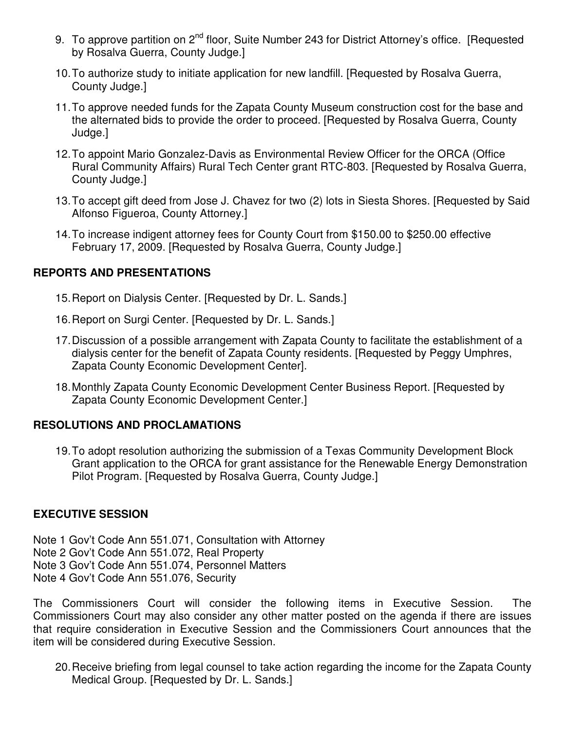- 9. To approve partition on 2<sup>nd</sup> floor, Suite Number 243 for District Attorney's office. [Requested by Rosalva Guerra, County Judge.]
- 10. To authorize study to initiate application for new landfill. [Requested by Rosalva Guerra, County Judge.]
- 11. To approve needed funds for the Zapata County Museum construction cost for the base and the alternated bids to provide the order to proceed. [Requested by Rosalva Guerra, County Judge.]
- 12. To appoint Mario Gonzalez-Davis as Environmental Review Officer for the ORCA (Office Rural Community Affairs) Rural Tech Center grant RTC-803. [Requested by Rosalva Guerra, County Judge.]
- 13. To accept gift deed from Jose J. Chavez for two (2) lots in Siesta Shores. [Requested by Said Alfonso Figueroa, County Attorney.]
- 14. To increase indigent attorney fees for County Court from \$150.00 to \$250.00 effective February 17, 2009. [Requested by Rosalva Guerra, County Judge.]

# **REPORTS AND PRESENTATIONS**

- 15. Report on Dialysis Center. [Requested by Dr. L. Sands.]
- 16. Report on Surgi Center. [Requested by Dr. L. Sands.]
- 17. Discussion of a possible arrangement with Zapata County to facilitate the establishment of a dialysis center for the benefit of Zapata County residents. [Requested by Peggy Umphres, Zapata County Economic Development Center].
- 18. Monthly Zapata County Economic Development Center Business Report. [Requested by Zapata County Economic Development Center.]

## **RESOLUTIONS AND PROCLAMATIONS**

19. To adopt resolution authorizing the submission of a Texas Community Development Block Grant application to the ORCA for grant assistance for the Renewable Energy Demonstration Pilot Program. [Requested by Rosalva Guerra, County Judge.]

## **EXECUTIVE SESSION**

Note 1 Gov't Code Ann 551.071, Consultation with Attorney Note 2 Gov't Code Ann 551.072, Real Property Note 3 Gov't Code Ann 551.074, Personnel Matters Note 4 Gov't Code Ann 551.076, Security

The Commissioners Court will consider the following items in Executive Session. The Commissioners Court may also consider any other matter posted on the agenda if there are issues that require consideration in Executive Session and the Commissioners Court announces that the item will be considered during Executive Session.

20. Receive briefing from legal counsel to take action regarding the income for the Zapata County Medical Group. [Requested by Dr. L. Sands.]